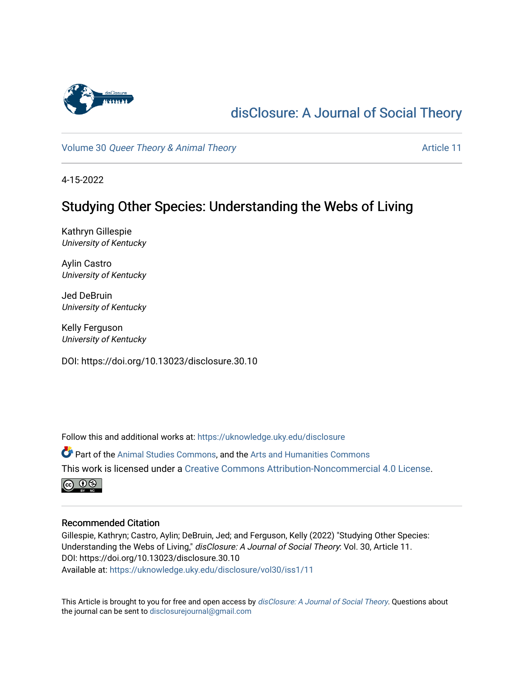

# [disClosure: A Journal of Social Theory](https://uknowledge.uky.edu/disclosure)

Volume 30 [Queer Theory & Animal Theory](https://uknowledge.uky.edu/disclosure/vol30) Article 11

4-15-2022

# Studying Other Species: Understanding the Webs of Living

Kathryn Gillespie University of Kentucky

Aylin Castro University of Kentucky

Jed DeBruin University of Kentucky

Kelly Ferguson University of Kentucky

DOI: https://doi.org/10.13023/disclosure.30.10

Follow this and additional works at: [https://uknowledge.uky.edu/disclosure](https://uknowledge.uky.edu/disclosure?utm_source=uknowledge.uky.edu%2Fdisclosure%2Fvol30%2Fiss1%2F11&utm_medium=PDF&utm_campaign=PDFCoverPages)

Part of the [Animal Studies Commons,](http://network.bepress.com/hgg/discipline/1306?utm_source=uknowledge.uky.edu%2Fdisclosure%2Fvol30%2Fiss1%2F11&utm_medium=PDF&utm_campaign=PDFCoverPages) and the [Arts and Humanities Commons](http://network.bepress.com/hgg/discipline/438?utm_source=uknowledge.uky.edu%2Fdisclosure%2Fvol30%2Fiss1%2F11&utm_medium=PDF&utm_campaign=PDFCoverPages) This work is licensed under a [Creative Commons Attribution-Noncommercial 4.0 License](https://creativecommons.org/licenses/by-nc/4.0/).



### Recommended Citation

Gillespie, Kathryn; Castro, Aylin; DeBruin, Jed; and Ferguson, Kelly (2022) "Studying Other Species: Understanding the Webs of Living," disClosure: A Journal of Social Theory: Vol. 30, Article 11. DOI: https://doi.org/10.13023/disclosure.30.10 Available at: [https://uknowledge.uky.edu/disclosure/vol30/iss1/11](https://uknowledge.uky.edu/disclosure/vol30/iss1/11?utm_source=uknowledge.uky.edu%2Fdisclosure%2Fvol30%2Fiss1%2F11&utm_medium=PDF&utm_campaign=PDFCoverPages) 

This Article is brought to you for free and open access by [disClosure: A Journal of Social Theory](https://uknowledge.uky.edu/disclosure). Questions about the journal can be sent to [disclosurejournal@gmail.com](mailto:disclosurejournal@gmail.com)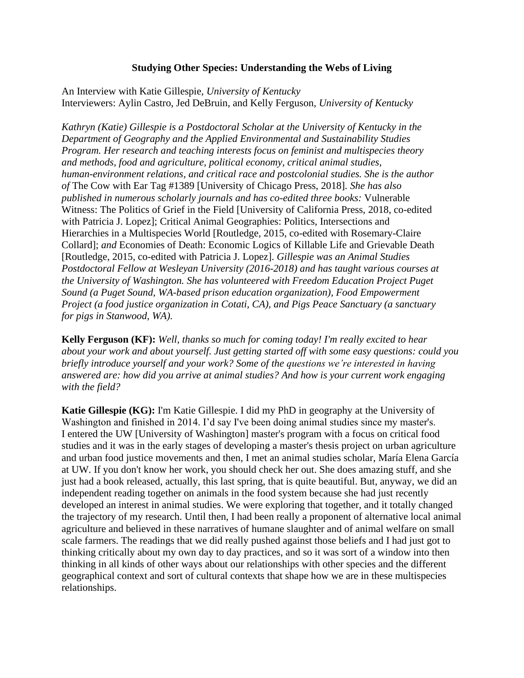### **Studying Other Species: Understanding the Webs of Living**

An Interview with Katie Gillespie, *University of Kentucky* Interviewers: Aylin Castro, Jed DeBruin, and Kelly Ferguson, *University of Kentucky*

*Kathryn (Katie) Gillespie is a Postdoctoral Scholar at the University of Kentucky in the Department of Geography and the Applied Environmental and Sustainability Studies Program. Her research and teaching interests focus on feminist and multispecies theory and methods, food and agriculture, political economy, critical animal studies, human-environment relations, and critical race and postcolonial studies. She is the author of* The Cow with Ear Tag #1389 [University of Chicago Press, 2018]*. She has also published in numerous scholarly journals and has co-edited three books:* Vulnerable Witness: The Politics of Grief in the Field [University of California Press, 2018, co-edited with Patricia J. Lopez]; Critical Animal Geographies: Politics, Intersections and Hierarchies in a Multispecies World [Routledge, 2015, co-edited with Rosemary-Claire Collard]; *and* Economies of Death: Economic Logics of Killable Life and Grievable Death [Routledge, 2015, co-edited with Patricia J. Lopez]. *Gillespie was an Animal Studies Postdoctoral Fellow at Wesleyan University (2016-2018) and has taught various courses at the University of Washington. She has volunteered with Freedom Education Project Puget Sound (a Puget Sound, WA-based prison education organization), Food Empowerment Project (a food justice organization in Cotati, CA), and Pigs Peace Sanctuary (a sanctuary for pigs in Stanwood, WA).*

**Kelly Ferguson (KF):** *Well, thanks so much for coming today! I'm really excited to hear about your work and about yourself. Just getting started off with some easy questions: could you briefly introduce yourself and your work? Some of the questions we're interested in having answered are: how did you arrive at animal studies? And how is your current work engaging with the field?*

**Katie Gillespie (KG):** I'm Katie Gillespie. I did my PhD in geography at the University of Washington and finished in 2014. I'd say I've been doing animal studies since my master's. I entered the UW [University of Washington] master's program with a focus on critical food studies and it was in the early stages of developing a master's thesis project on urban agriculture and urban food justice movements and then, I met an animal studies scholar, María Elena García at UW. If you don't know her work, you should check her out. She does amazing stuff, and she just had a book released, actually, this last spring, that is quite beautiful. But, anyway, we did an independent reading together on animals in the food system because she had just recently developed an interest in animal studies. We were exploring that together, and it totally changed the trajectory of my research. Until then, I had been really a proponent of alternative local animal agriculture and believed in these narratives of humane slaughter and of animal welfare on small scale farmers. The readings that we did really pushed against those beliefs and I had just got to thinking critically about my own day to day practices, and so it was sort of a window into then thinking in all kinds of other ways about our relationships with other species and the different geographical context and sort of cultural contexts that shape how we are in these multispecies relationships.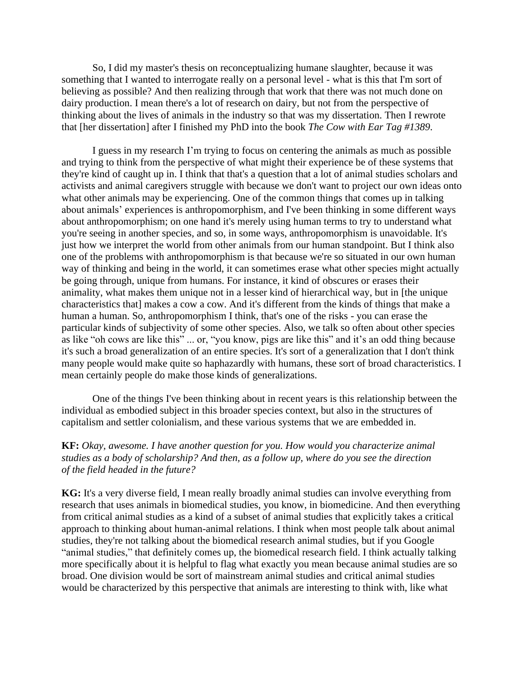So, I did my master's thesis on reconceptualizing humane slaughter, because it was something that I wanted to interrogate really on a personal level - what is this that I'm sort of believing as possible? And then realizing through that work that there was not much done on dairy production. I mean there's a lot of research on dairy, but not from the perspective of thinking about the lives of animals in the industry so that was my dissertation. Then I rewrote that [her dissertation] after I finished my PhD into the book *The Cow with Ear Tag #1389*.

I guess in my research I'm trying to focus on centering the animals as much as possible and trying to think from the perspective of what might their experience be of these systems that they're kind of caught up in. I think that that's a question that a lot of animal studies scholars and activists and animal caregivers struggle with because we don't want to project our own ideas onto what other animals may be experiencing. One of the common things that comes up in talking about animals' experiences is anthropomorphism, and I've been thinking in some different ways about anthropomorphism; on one hand it's merely using human terms to try to understand what you're seeing in another species, and so, in some ways, anthropomorphism is unavoidable. It's just how we interpret the world from other animals from our human standpoint. But I think also one of the problems with anthropomorphism is that because we're so situated in our own human way of thinking and being in the world, it can sometimes erase what other species might actually be going through, unique from humans. For instance, it kind of obscures or erases their animality, what makes them unique not in a lesser kind of hierarchical way, but in [the unique characteristics that] makes a cow a cow. And it's different from the kinds of things that make a human a human. So, anthropomorphism I think, that's one of the risks - you can erase the particular kinds of subjectivity of some other species. Also, we talk so often about other species as like "oh cows are like this" ... or, "you know, pigs are like this" and it's an odd thing because it's such a broad generalization of an entire species. It's sort of a generalization that I don't think many people would make quite so haphazardly with humans, these sort of broad characteristics. I mean certainly people do make those kinds of generalizations.

One of the things I've been thinking about in recent years is this relationship between the individual as embodied subject in this broader species context, but also in the structures of capitalism and settler colonialism, and these various systems that we are embedded in.

### **KF:** *Okay, awesome. I have another question for you. How would you characterize animal studies as a body of scholarship? And then, as a follow up, where do you see the direction of the field headed in the future?*

**KG:** It's a very diverse field, I mean really broadly animal studies can involve everything from research that uses animals in biomedical studies, you know, in biomedicine. And then everything from critical animal studies as a kind of a subset of animal studies that explicitly takes a critical approach to thinking about human-animal relations. I think when most people talk about animal studies, they're not talking about the biomedical research animal studies, but if you Google "animal studies," that definitely comes up, the biomedical research field. I think actually talking more specifically about it is helpful to flag what exactly you mean because animal studies are so broad. One division would be sort of mainstream animal studies and critical animal studies would be characterized by this perspective that animals are interesting to think with, like what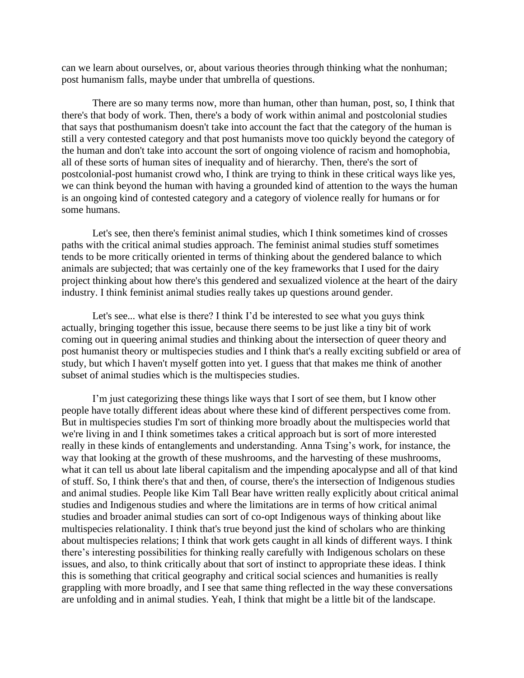can we learn about ourselves, or, about various theories through thinking what the nonhuman; post humanism falls, maybe under that umbrella of questions.

There are so many terms now, more than human, other than human, post, so, I think that there's that body of work. Then, there's a body of work within animal and postcolonial studies that says that posthumanism doesn't take into account the fact that the category of the human is still a very contested category and that post humanists move too quickly beyond the category of the human and don't take into account the sort of ongoing violence of racism and homophobia, all of these sorts of human sites of inequality and of hierarchy. Then, there's the sort of postcolonial-post humanist crowd who, I think are trying to think in these critical ways like yes, we can think beyond the human with having a grounded kind of attention to the ways the human is an ongoing kind of contested category and a category of violence really for humans or for some humans.

Let's see, then there's feminist animal studies, which I think sometimes kind of crosses paths with the critical animal studies approach. The feminist animal studies stuff sometimes tends to be more critically oriented in terms of thinking about the gendered balance to which animals are subjected; that was certainly one of the key frameworks that I used for the dairy project thinking about how there's this gendered and sexualized violence at the heart of the dairy industry. I think feminist animal studies really takes up questions around gender.

Let's see... what else is there? I think I'd be interested to see what you guys think actually, bringing together this issue, because there seems to be just like a tiny bit of work coming out in queering animal studies and thinking about the intersection of queer theory and post humanist theory or multispecies studies and I think that's a really exciting subfield or area of study, but which I haven't myself gotten into yet. I guess that that makes me think of another subset of animal studies which is the multispecies studies.

I'm just categorizing these things like ways that I sort of see them, but I know other people have totally different ideas about where these kind of different perspectives come from. But in multispecies studies I'm sort of thinking more broadly about the multispecies world that we're living in and I think sometimes takes a critical approach but is sort of more interested really in these kinds of entanglements and understanding. Anna Tsing's work, for instance, the way that looking at the growth of these mushrooms, and the harvesting of these mushrooms, what it can tell us about late liberal capitalism and the impending apocalypse and all of that kind of stuff. So, I think there's that and then, of course, there's the intersection of Indigenous studies and animal studies. People like Kim Tall Bear have written really explicitly about critical animal studies and Indigenous studies and where the limitations are in terms of how critical animal studies and broader animal studies can sort of co-opt Indigenous ways of thinking about like multispecies relationality. I think that's true beyond just the kind of scholars who are thinking about multispecies relations; I think that work gets caught in all kinds of different ways. I think there's interesting possibilities for thinking really carefully with Indigenous scholars on these issues, and also, to think critically about that sort of instinct to appropriate these ideas. I think this is something that critical geography and critical social sciences and humanities is really grappling with more broadly, and I see that same thing reflected in the way these conversations are unfolding and in animal studies. Yeah, I think that might be a little bit of the landscape.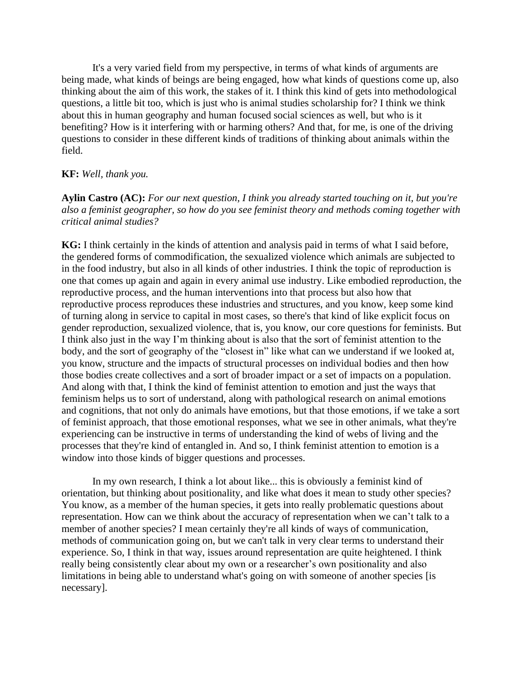It's a very varied field from my perspective, in terms of what kinds of arguments are being made, what kinds of beings are being engaged, how what kinds of questions come up, also thinking about the aim of this work, the stakes of it. I think this kind of gets into methodological questions, a little bit too, which is just who is animal studies scholarship for? I think we think about this in human geography and human focused social sciences as well, but who is it benefiting? How is it interfering with or harming others? And that, for me, is one of the driving questions to consider in these different kinds of traditions of thinking about animals within the field.

#### **KF:** *Well, thank you.*

**Aylin Castro (AC):** *For our next question, I think you already started touching on it, but you're also a feminist geographer, so how do you see feminist theory and methods coming together with critical animal studies?*

**KG:** I think certainly in the kinds of attention and analysis paid in terms of what I said before, the gendered forms of commodification, the sexualized violence which animals are subjected to in the food industry, but also in all kinds of other industries. I think the topic of reproduction is one that comes up again and again in every animal use industry. Like embodied reproduction, the reproductive process, and the human interventions into that process but also how that reproductive process reproduces these industries and structures, and you know, keep some kind of turning along in service to capital in most cases, so there's that kind of like explicit focus on gender reproduction, sexualized violence, that is, you know, our core questions for feminists. But I think also just in the way I'm thinking about is also that the sort of feminist attention to the body, and the sort of geography of the "closest in" like what can we understand if we looked at, you know, structure and the impacts of structural processes on individual bodies and then how those bodies create collectives and a sort of broader impact or a set of impacts on a population. And along with that, I think the kind of feminist attention to emotion and just the ways that feminism helps us to sort of understand, along with pathological research on animal emotions and cognitions, that not only do animals have emotions, but that those emotions, if we take a sort of feminist approach, that those emotional responses, what we see in other animals, what they're experiencing can be instructive in terms of understanding the kind of webs of living and the processes that they're kind of entangled in. And so, I think feminist attention to emotion is a window into those kinds of bigger questions and processes.

In my own research, I think a lot about like... this is obviously a feminist kind of orientation, but thinking about positionality, and like what does it mean to study other species? You know, as a member of the human species, it gets into really problematic questions about representation. How can we think about the accuracy of representation when we can't talk to a member of another species? I mean certainly they're all kinds of ways of communication, methods of communication going on, but we can't talk in very clear terms to understand their experience. So, I think in that way, issues around representation are quite heightened. I think really being consistently clear about my own or a researcher's own positionality and also limitations in being able to understand what's going on with some of another species [is necessary].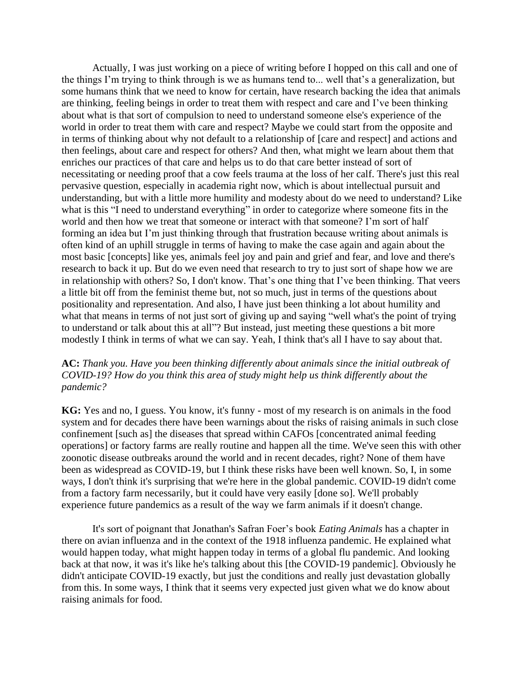Actually, I was just working on a piece of writing before I hopped on this call and one of the things I'm trying to think through is we as humans tend to... well that's a generalization, but some humans think that we need to know for certain, have research backing the idea that animals are thinking, feeling beings in order to treat them with respect and care and I've been thinking about what is that sort of compulsion to need to understand someone else's experience of the world in order to treat them with care and respect? Maybe we could start from the opposite and in terms of thinking about why not default to a relationship of [care and respect] and actions and then feelings, about care and respect for others? And then, what might we learn about them that enriches our practices of that care and helps us to do that care better instead of sort of necessitating or needing proof that a cow feels trauma at the loss of her calf. There's just this real pervasive question, especially in academia right now, which is about intellectual pursuit and understanding, but with a little more humility and modesty about do we need to understand? Like what is this "I need to understand everything" in order to categorize where someone fits in the world and then how we treat that someone or interact with that someone? I'm sort of half forming an idea but I'm just thinking through that frustration because writing about animals is often kind of an uphill struggle in terms of having to make the case again and again about the most basic [concepts] like yes, animals feel joy and pain and grief and fear, and love and there's research to back it up. But do we even need that research to try to just sort of shape how we are in relationship with others? So, I don't know. That's one thing that I've been thinking. That veers a little bit off from the feminist theme but, not so much, just in terms of the questions about positionality and representation. And also, I have just been thinking a lot about humility and what that means in terms of not just sort of giving up and saying "well what's the point of trying to understand or talk about this at all"? But instead, just meeting these questions a bit more modestly I think in terms of what we can say. Yeah, I think that's all I have to say about that.

## **AC:** *Thank you. Have you been thinking differently about animals since the initial outbreak of COVID-19? How do you think this area of study might help us think differently about the pandemic?*

**KG:** Yes and no, I guess. You know, it's funny - most of my research is on animals in the food system and for decades there have been warnings about the risks of raising animals in such close confinement [such as] the diseases that spread within CAFOs [concentrated animal feeding operations] or factory farms are really routine and happen all the time. We've seen this with other zoonotic disease outbreaks around the world and in recent decades, right? None of them have been as widespread as COVID-19, but I think these risks have been well known. So, I, in some ways, I don't think it's surprising that we're here in the global pandemic. COVID-19 didn't come from a factory farm necessarily, but it could have very easily [done so]. We'll probably experience future pandemics as a result of the way we farm animals if it doesn't change.

It's sort of poignant that Jonathan's Safran Foer's book *Eating Animals* has a chapter in there on avian influenza and in the context of the 1918 influenza pandemic. He explained what would happen today, what might happen today in terms of a global flu pandemic. And looking back at that now, it was it's like he's talking about this [the COVID-19 pandemic]. Obviously he didn't anticipate COVID-19 exactly, but just the conditions and really just devastation globally from this. In some ways, I think that it seems very expected just given what we do know about raising animals for food.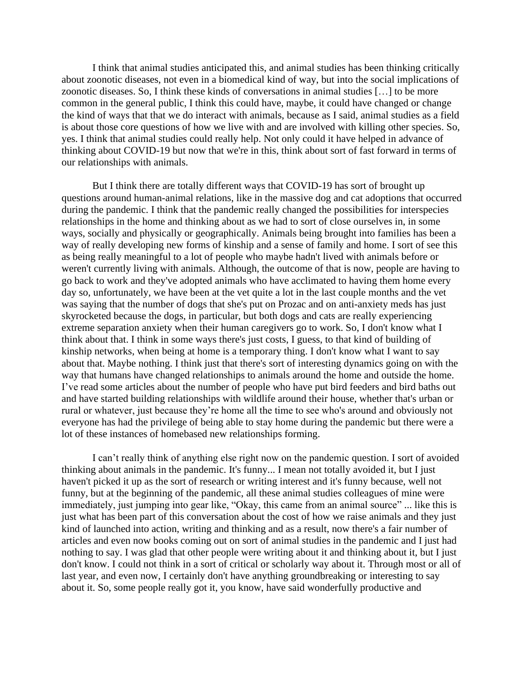I think that animal studies anticipated this, and animal studies has been thinking critically about zoonotic diseases, not even in a biomedical kind of way, but into the social implications of zoonotic diseases. So, I think these kinds of conversations in animal studies […] to be more common in the general public, I think this could have, maybe, it could have changed or change the kind of ways that that we do interact with animals, because as I said, animal studies as a field is about those core questions of how we live with and are involved with killing other species. So, yes. I think that animal studies could really help. Not only could it have helped in advance of thinking about COVID-19 but now that we're in this, think about sort of fast forward in terms of our relationships with animals.

But I think there are totally different ways that COVID-19 has sort of brought up questions around human-animal relations, like in the massive dog and cat adoptions that occurred during the pandemic. I think that the pandemic really changed the possibilities for interspecies relationships in the home and thinking about as we had to sort of close ourselves in, in some ways, socially and physically or geographically. Animals being brought into families has been a way of really developing new forms of kinship and a sense of family and home. I sort of see this as being really meaningful to a lot of people who maybe hadn't lived with animals before or weren't currently living with animals. Although, the outcome of that is now, people are having to go back to work and they've adopted animals who have acclimated to having them home every day so, unfortunately, we have been at the vet quite a lot in the last couple months and the vet was saying that the number of dogs that she's put on Prozac and on anti-anxiety meds has just skyrocketed because the dogs, in particular, but both dogs and cats are really experiencing extreme separation anxiety when their human caregivers go to work. So, I don't know what I think about that. I think in some ways there's just costs, I guess, to that kind of building of kinship networks, when being at home is a temporary thing. I don't know what I want to say about that. Maybe nothing. I think just that there's sort of interesting dynamics going on with the way that humans have changed relationships to animals around the home and outside the home. I've read some articles about the number of people who have put bird feeders and bird baths out and have started building relationships with wildlife around their house, whether that's urban or rural or whatever, just because they're home all the time to see who's around and obviously not everyone has had the privilege of being able to stay home during the pandemic but there were a lot of these instances of homebased new relationships forming.

I can't really think of anything else right now on the pandemic question. I sort of avoided thinking about animals in the pandemic. It's funny... I mean not totally avoided it, but I just haven't picked it up as the sort of research or writing interest and it's funny because, well not funny, but at the beginning of the pandemic, all these animal studies colleagues of mine were immediately, just jumping into gear like, "Okay, this came from an animal source" ... like this is just what has been part of this conversation about the cost of how we raise animals and they just kind of launched into action, writing and thinking and as a result, now there's a fair number of articles and even now books coming out on sort of animal studies in the pandemic and I just had nothing to say. I was glad that other people were writing about it and thinking about it, but I just don't know. I could not think in a sort of critical or scholarly way about it. Through most or all of last year, and even now, I certainly don't have anything groundbreaking or interesting to say about it. So, some people really got it, you know, have said wonderfully productive and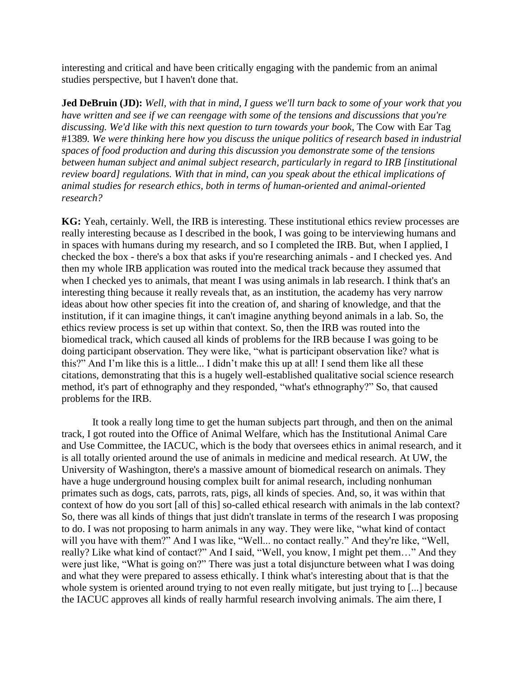interesting and critical and have been critically engaging with the pandemic from an animal studies perspective, but I haven't done that.

**Jed DeBruin (JD):** *Well, with that in mind, I guess we'll turn back to some of your work that you have written and see if we can reengage with some of the tensions and discussions that you're discussing. We'd like with this next question to turn towards your book*, The Cow with Ear Tag #1389*. We were thinking here how you discuss the unique politics of research based in industrial spaces of food production and during this discussion you demonstrate some of the tensions between human subject and animal subject research, particularly in regard to IRB [institutional review board] regulations. With that in mind, can you speak about the ethical implications of animal studies for research ethics, both in terms of human-oriented and animal-oriented research?*

**KG:** Yeah, certainly. Well, the IRB is interesting. These institutional ethics review processes are really interesting because as I described in the book, I was going to be interviewing humans and in spaces with humans during my research, and so I completed the IRB. But, when I applied, I checked the box - there's a box that asks if you're researching animals - and I checked yes. And then my whole IRB application was routed into the medical track because they assumed that when I checked yes to animals, that meant I was using animals in lab research. I think that's an interesting thing because it really reveals that, as an institution, the academy has very narrow ideas about how other species fit into the creation of, and sharing of knowledge, and that the institution, if it can imagine things, it can't imagine anything beyond animals in a lab. So, the ethics review process is set up within that context. So, then the IRB was routed into the biomedical track, which caused all kinds of problems for the IRB because I was going to be doing participant observation. They were like, "what is participant observation like? what is this?" And I'm like this is a little... I didn't make this up at all! I send them like all these citations, demonstrating that this is a hugely well-established qualitative social science research method, it's part of ethnography and they responded, "what's ethnography?" So, that caused problems for the IRB.

It took a really long time to get the human subjects part through, and then on the animal track, I got routed into the Office of Animal Welfare, which has the Institutional Animal Care and Use Committee, the IACUC, which is the body that oversees ethics in animal research, and it is all totally oriented around the use of animals in medicine and medical research. At UW, the University of Washington, there's a massive amount of biomedical research on animals. They have a huge underground housing complex built for animal research, including nonhuman primates such as dogs, cats, parrots, rats, pigs, all kinds of species. And, so, it was within that context of how do you sort [all of this] so-called ethical research with animals in the lab context? So, there was all kinds of things that just didn't translate in terms of the research I was proposing to do. I was not proposing to harm animals in any way. They were like, "what kind of contact will you have with them?" And I was like, "Well... no contact really." And they're like, "Well, really? Like what kind of contact?" And I said, "Well, you know, I might pet them…" And they were just like, "What is going on?" There was just a total disjuncture between what I was doing and what they were prepared to assess ethically. I think what's interesting about that is that the whole system is oriented around trying to not even really mitigate, but just trying to [...] because the IACUC approves all kinds of really harmful research involving animals. The aim there, I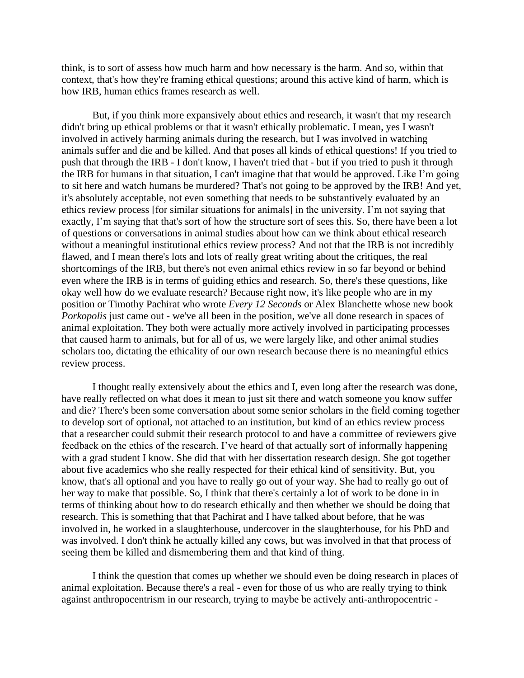think, is to sort of assess how much harm and how necessary is the harm. And so, within that context, that's how they're framing ethical questions; around this active kind of harm, which is how IRB, human ethics frames research as well.

But, if you think more expansively about ethics and research, it wasn't that my research didn't bring up ethical problems or that it wasn't ethically problematic. I mean, yes I wasn't involved in actively harming animals during the research, but I was involved in watching animals suffer and die and be killed. And that poses all kinds of ethical questions! If you tried to push that through the IRB - I don't know, I haven't tried that - but if you tried to push it through the IRB for humans in that situation, I can't imagine that that would be approved. Like I'm going to sit here and watch humans be murdered? That's not going to be approved by the IRB! And yet, it's absolutely acceptable, not even something that needs to be substantively evaluated by an ethics review process [for similar situations for animals] in the university. I'm not saying that exactly, I'm saying that that's sort of how the structure sort of sees this. So, there have been a lot of questions or conversations in animal studies about how can we think about ethical research without a meaningful institutional ethics review process? And not that the IRB is not incredibly flawed, and I mean there's lots and lots of really great writing about the critiques, the real shortcomings of the IRB, but there's not even animal ethics review in so far beyond or behind even where the IRB is in terms of guiding ethics and research. So, there's these questions, like okay well how do we evaluate research? Because right now, it's like people who are in my position or Timothy Pachirat who wrote *Every 12 Seconds* or Alex Blanchette whose new book *Porkopolis* just came out - we've all been in the position, we've all done research in spaces of animal exploitation. They both were actually more actively involved in participating processes that caused harm to animals, but for all of us, we were largely like, and other animal studies scholars too, dictating the ethicality of our own research because there is no meaningful ethics review process.

I thought really extensively about the ethics and I, even long after the research was done, have really reflected on what does it mean to just sit there and watch someone you know suffer and die? There's been some conversation about some senior scholars in the field coming together to develop sort of optional, not attached to an institution, but kind of an ethics review process that a researcher could submit their research protocol to and have a committee of reviewers give feedback on the ethics of the research. I've heard of that actually sort of informally happening with a grad student I know. She did that with her dissertation research design. She got together about five academics who she really respected for their ethical kind of sensitivity. But, you know, that's all optional and you have to really go out of your way. She had to really go out of her way to make that possible. So, I think that there's certainly a lot of work to be done in in terms of thinking about how to do research ethically and then whether we should be doing that research. This is something that that Pachirat and I have talked about before, that he was involved in, he worked in a slaughterhouse, undercover in the slaughterhouse, for his PhD and was involved. I don't think he actually killed any cows, but was involved in that that process of seeing them be killed and dismembering them and that kind of thing.

I think the question that comes up whether we should even be doing research in places of animal exploitation. Because there's a real - even for those of us who are really trying to think against anthropocentrism in our research, trying to maybe be actively anti-anthropocentric -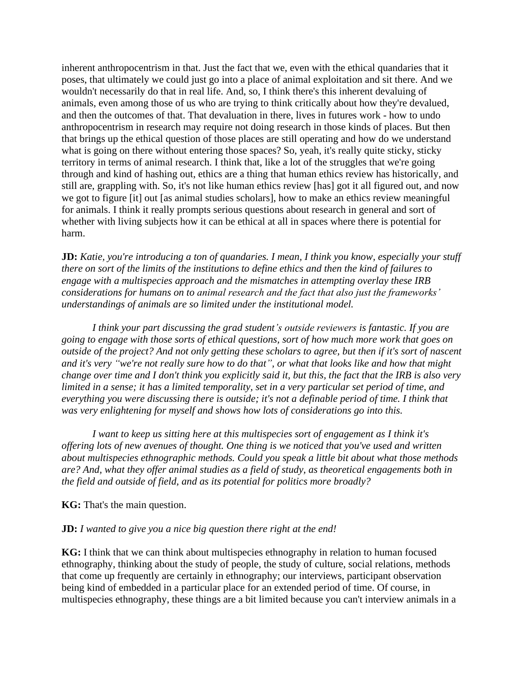inherent anthropocentrism in that. Just the fact that we, even with the ethical quandaries that it poses, that ultimately we could just go into a place of animal exploitation and sit there. And we wouldn't necessarily do that in real life. And, so, I think there's this inherent devaluing of animals, even among those of us who are trying to think critically about how they're devalued, and then the outcomes of that. That devaluation in there, lives in futures work - how to undo anthropocentrism in research may require not doing research in those kinds of places. But then that brings up the ethical question of those places are still operating and how do we understand what is going on there without entering those spaces? So, yeah, it's really quite sticky, sticky territory in terms of animal research. I think that, like a lot of the struggles that we're going through and kind of hashing out, ethics are a thing that human ethics review has historically, and still are, grappling with. So, it's not like human ethics review [has] got it all figured out, and now we got to figure [it] out [as animal studies scholars], how to make an ethics review meaningful for animals. I think it really prompts serious questions about research in general and sort of whether with living subjects how it can be ethical at all in spaces where there is potential for harm.

**JD:** *Katie, you're introducing a ton of quandaries. I mean, I think you know, especially your stuff there on sort of the limits of the institutions to define ethics and then the kind of failures to engage with a multispecies approach and the mismatches in attempting overlay these IRB considerations for humans on to animal research and the fact that also just the frameworks' understandings of animals are so limited under the institutional model.* 

*I think your part discussing the grad student's outside reviewers is fantastic. If you are going to engage with those sorts of ethical questions, sort of how much more work that goes on outside of the project? And not only getting these scholars to agree, but then if it's sort of nascent and it's very "we're not really sure how to do that", or what that looks like and how that might change over time and I don't think you explicitly said it, but this, the fact that the IRB is also very limited in a sense; it has a limited temporality, set in a very particular set period of time, and everything you were discussing there is outside; it's not a definable period of time. I think that was very enlightening for myself and shows how lots of considerations go into this.* 

*I want to keep us sitting here at this multispecies sort of engagement as I think it's offering lots of new avenues of thought. One thing is we noticed that you've used and written about multispecies ethnographic methods. Could you speak a little bit about what those methods are? And, what they offer animal studies as a field of study, as theoretical engagements both in the field and outside of field, and as its potential for politics more broadly?*

**KG:** That's the main question.

#### **JD:** *I wanted to give you a nice big question there right at the end!*

**KG:** I think that we can think about multispecies ethnography in relation to human focused ethnography, thinking about the study of people, the study of culture, social relations, methods that come up frequently are certainly in ethnography; our interviews, participant observation being kind of embedded in a particular place for an extended period of time. Of course, in multispecies ethnography, these things are a bit limited because you can't interview animals in a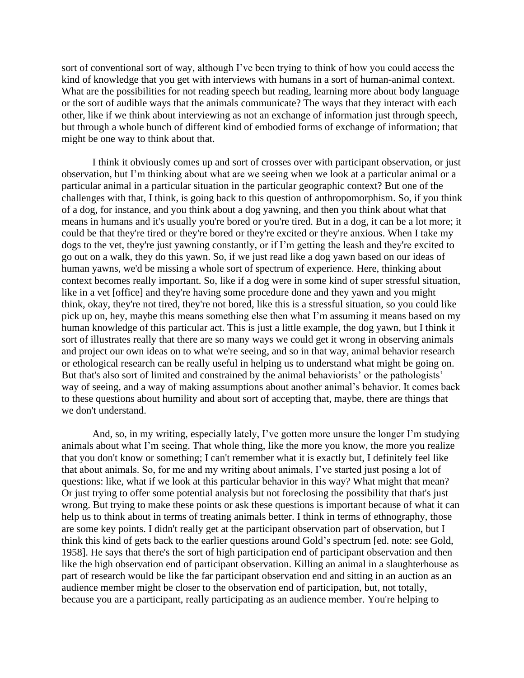sort of conventional sort of way, although I've been trying to think of how you could access the kind of knowledge that you get with interviews with humans in a sort of human-animal context. What are the possibilities for not reading speech but reading, learning more about body language or the sort of audible ways that the animals communicate? The ways that they interact with each other, like if we think about interviewing as not an exchange of information just through speech, but through a whole bunch of different kind of embodied forms of exchange of information; that might be one way to think about that.

I think it obviously comes up and sort of crosses over with participant observation, or just observation, but I'm thinking about what are we seeing when we look at a particular animal or a particular animal in a particular situation in the particular geographic context? But one of the challenges with that, I think, is going back to this question of anthropomorphism. So, if you think of a dog, for instance, and you think about a dog yawning, and then you think about what that means in humans and it's usually you're bored or you're tired. But in a dog, it can be a lot more; it could be that they're tired or they're bored or they're excited or they're anxious. When I take my dogs to the vet, they're just yawning constantly, or if I'm getting the leash and they're excited to go out on a walk, they do this yawn. So, if we just read like a dog yawn based on our ideas of human yawns, we'd be missing a whole sort of spectrum of experience. Here, thinking about context becomes really important. So, like if a dog were in some kind of super stressful situation, like in a vet [office] and they're having some procedure done and they yawn and you might think, okay, they're not tired, they're not bored, like this is a stressful situation, so you could like pick up on, hey, maybe this means something else then what I'm assuming it means based on my human knowledge of this particular act. This is just a little example, the dog yawn, but I think it sort of illustrates really that there are so many ways we could get it wrong in observing animals and project our own ideas on to what we're seeing, and so in that way, animal behavior research or ethological research can be really useful in helping us to understand what might be going on. But that's also sort of limited and constrained by the animal behaviorists' or the pathologists' way of seeing, and a way of making assumptions about another animal's behavior. It comes back to these questions about humility and about sort of accepting that, maybe, there are things that we don't understand.

And, so, in my writing, especially lately, I've gotten more unsure the longer I'm studying animals about what I'm seeing. That whole thing, like the more you know, the more you realize that you don't know or something; I can't remember what it is exactly but, I definitely feel like that about animals. So, for me and my writing about animals, I've started just posing a lot of questions: like, what if we look at this particular behavior in this way? What might that mean? Or just trying to offer some potential analysis but not foreclosing the possibility that that's just wrong. But trying to make these points or ask these questions is important because of what it can help us to think about in terms of treating animals better. I think in terms of ethnography, those are some key points. I didn't really get at the participant observation part of observation, but I think this kind of gets back to the earlier questions around Gold's spectrum [ed. note: see Gold, 1958]. He says that there's the sort of high participation end of participant observation and then like the high observation end of participant observation. Killing an animal in a slaughterhouse as part of research would be like the far participant observation end and sitting in an auction as an audience member might be closer to the observation end of participation, but, not totally, because you are a participant, really participating as an audience member. You're helping to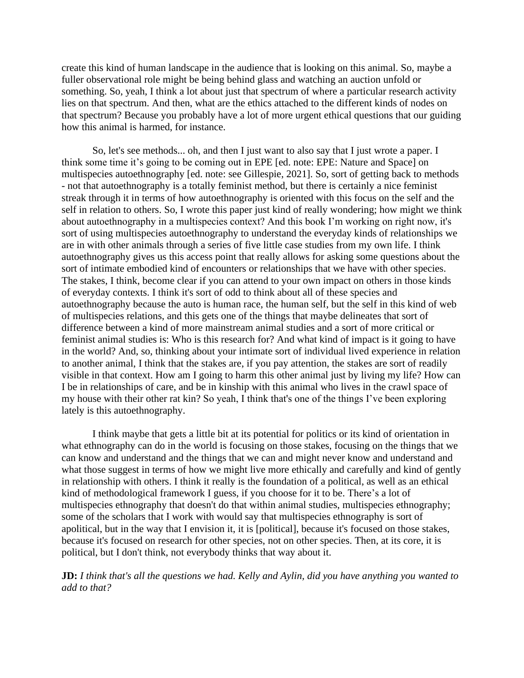create this kind of human landscape in the audience that is looking on this animal. So, maybe a fuller observational role might be being behind glass and watching an auction unfold or something. So, yeah, I think a lot about just that spectrum of where a particular research activity lies on that spectrum. And then, what are the ethics attached to the different kinds of nodes on that spectrum? Because you probably have a lot of more urgent ethical questions that our guiding how this animal is harmed, for instance.

So, let's see methods... oh, and then I just want to also say that I just wrote a paper. I think some time it's going to be coming out in EPE [ed. note: EPE: Nature and Space] on multispecies autoethnography [ed. note: see Gillespie, 2021]. So, sort of getting back to methods - not that autoethnography is a totally feminist method, but there is certainly a nice feminist streak through it in terms of how autoethnography is oriented with this focus on the self and the self in relation to others. So, I wrote this paper just kind of really wondering; how might we think about autoethnography in a multispecies context? And this book I'm working on right now, it's sort of using multispecies autoethnography to understand the everyday kinds of relationships we are in with other animals through a series of five little case studies from my own life. I think autoethnography gives us this access point that really allows for asking some questions about the sort of intimate embodied kind of encounters or relationships that we have with other species. The stakes, I think, become clear if you can attend to your own impact on others in those kinds of everyday contexts. I think it's sort of odd to think about all of these species and autoethnography because the auto is human race, the human self, but the self in this kind of web of multispecies relations, and this gets one of the things that maybe delineates that sort of difference between a kind of more mainstream animal studies and a sort of more critical or feminist animal studies is: Who is this research for? And what kind of impact is it going to have in the world? And, so, thinking about your intimate sort of individual lived experience in relation to another animal, I think that the stakes are, if you pay attention, the stakes are sort of readily visible in that context. How am I going to harm this other animal just by living my life? How can I be in relationships of care, and be in kinship with this animal who lives in the crawl space of my house with their other rat kin? So yeah, I think that's one of the things I've been exploring lately is this autoethnography.

I think maybe that gets a little bit at its potential for politics or its kind of orientation in what ethnography can do in the world is focusing on those stakes, focusing on the things that we can know and understand and the things that we can and might never know and understand and what those suggest in terms of how we might live more ethically and carefully and kind of gently in relationship with others. I think it really is the foundation of a political, as well as an ethical kind of methodological framework I guess, if you choose for it to be. There's a lot of multispecies ethnography that doesn't do that within animal studies, multispecies ethnography; some of the scholars that I work with would say that multispecies ethnography is sort of apolitical, but in the way that I envision it, it is [political], because it's focused on those stakes, because it's focused on research for other species, not on other species. Then, at its core, it is political, but I don't think, not everybody thinks that way about it.

**JD:** *I think that's all the questions we had. Kelly and Aylin, did you have anything you wanted to add to that?*